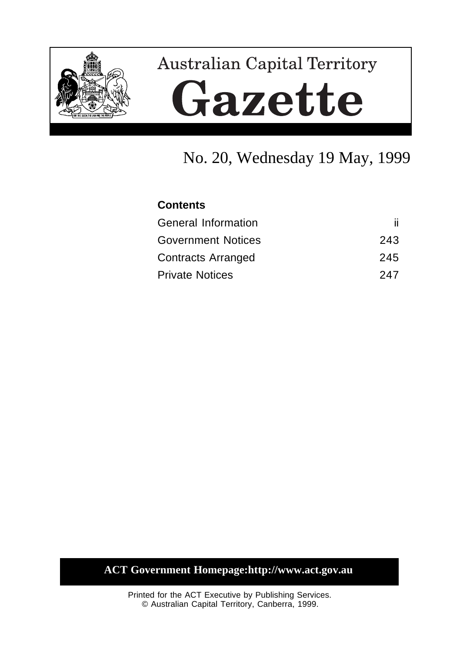

# **Australian Capital Territory** Gazette

## No. 20, Wednesday 19 May, 1999

## **Contents**

| <b>General Information</b> |     |
|----------------------------|-----|
| <b>Government Notices</b>  | 243 |
| <b>Contracts Arranged</b>  | 245 |
| <b>Private Notices</b>     | 247 |

## **ACT Government Homepage:http://www.act.gov.au**

Printed for the ACT Executive by Publishing Services. © Australian Capital Territory, Canberra, 1999.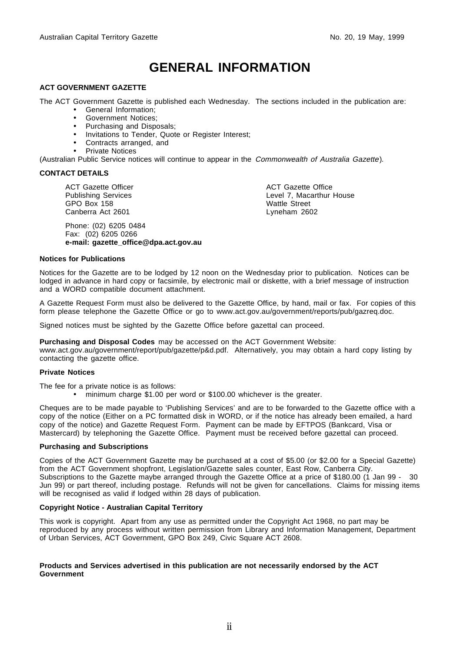## **GENERAL INFORMATION**

#### **ACT GOVERNMENT GAZETTE**

The ACT Government Gazette is published each Wednesday. The sections included in the publication are:

- General Information;
- Government Notices;
- Purchasing and Disposals;
- Invitations to Tender, Quote or Register Interest;
- Contracts arranged, and
- Private Notices

(Australian Public Service notices will continue to appear in the Commonwealth of Australia Gazette).

#### **CONTACT DETAILS**

ACT Gazette Officer Publishing Services GPO Box 158 Canberra Act 2601

Phone: (02) 6205 0484 Fax: (02) 6205 0266 **e-mail: gazette\_office@dpa.act.gov.au** ACT Gazette Office Level 7, Macarthur House Wattle Street Lyneham 2602

#### **Notices for Publications**

Notices for the Gazette are to be lodged by 12 noon on the Wednesday prior to publication. Notices can be lodged in advance in hard copy or facsimile, by electronic mail or diskette, with a brief message of instruction and a WORD compatible document attachment.

A Gazette Request Form must also be delivered to the Gazette Office, by hand, mail or fax. For copies of this form please telephone the Gazette Office or go to www.act.gov.au/government/reports/pub/gazreq.doc.

Signed notices must be sighted by the Gazette Office before gazettal can proceed.

**Purchasing and Disposal Codes** may be accessed on the ACT Government Website:

www.act.gov.au/government/report/pub/gazette/p&d.pdf. Alternatively, you may obtain a hard copy listing by contacting the gazette office.

#### **Private Notices**

The fee for a private notice is as follows:

• minimum charge \$1.00 per word or \$100.00 whichever is the greater.

Cheques are to be made payable to 'Publishing Services' and are to be forwarded to the Gazette office with a copy of the notice (Either on a PC formatted disk in WORD, or if the notice has already been emailed, a hard copy of the notice) and Gazette Request Form. Payment can be made by EFTPOS (Bankcard, Visa or Mastercard) by telephoning the Gazette Office. Payment must be received before gazettal can proceed.

#### **Purchasing and Subscriptions**

Copies of the ACT Government Gazette may be purchased at a cost of \$5.00 (or \$2.00 for a Special Gazette) from the ACT Government shopfront, Legislation/Gazette sales counter, East Row, Canberra City. Subscriptions to the Gazette maybe arranged through the Gazette Office at a price of \$180.00 (1 Jan 99 - 30 Jun 99) or part thereof, including postage. Refunds will not be given for cancellations. Claims for missing items will be recognised as valid if lodged within 28 days of publication.

#### **Copyright Notice - Australian Capital Territory**

This work is copyright. Apart from any use as permitted under the Copyright Act 1968, no part may be reproduced by any process without written permission from Library and Information Management, Department of Urban Services, ACT Government, GPO Box 249, Civic Square ACT 2608.

#### **Products and Services advertised in this publication are not necessarily endorsed by the ACT Government**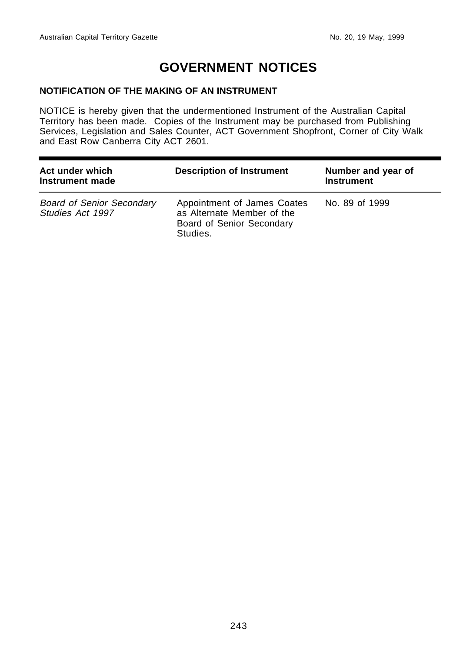## **GOVERNMENT NOTICES**

## **NOTIFICATION OF THE MAKING OF AN INSTRUMENT**

NOTICE is hereby given that the undermentioned Instrument of the Australian Capital Territory has been made. Copies of the Instrument may be purchased from Publishing Services, Legislation and Sales Counter, ACT Government Shopfront, Corner of City Walk and East Row Canberra City ACT 2601.

| Act under which<br>Instrument made                   | <b>Description of Instrument</b>                                                                   | Number and year of<br><b>Instrument</b> |  |
|------------------------------------------------------|----------------------------------------------------------------------------------------------------|-----------------------------------------|--|
| <b>Board of Senior Secondary</b><br>Studies Act 1997 | Appointment of James Coates<br>as Alternate Member of the<br>Board of Senior Secondary<br>Studies. | No. 89 of 1999                          |  |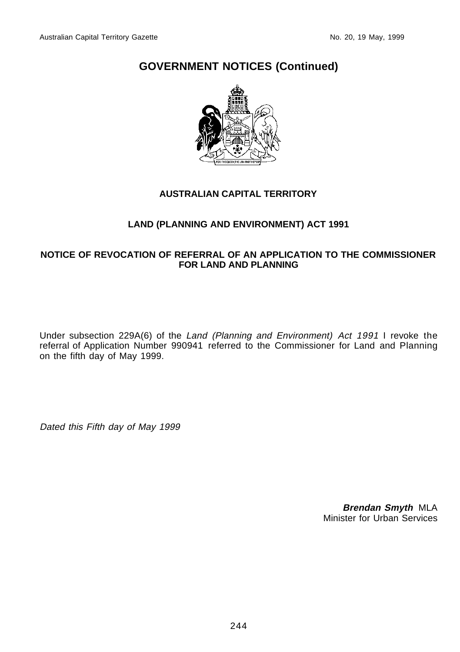## **GOVERNMENT NOTICES (Continued)**



## **AUSTRALIAN CAPITAL TERRITORY**

## **LAND (PLANNING AND ENVIRONMENT) ACT 1991**

## **NOTICE OF REVOCATION OF REFERRAL OF AN APPLICATION TO THE COMMISSIONER FOR LAND AND PLANNING**

Under subsection 229A(6) of the Land (Planning and Environment) Act 1991 I revoke the referral of Application Number 990941 referred to the Commissioner for Land and Planning on the fifth day of May 1999.

Dated this Fifth day of May 1999

**Brendan Smyth** MLA Minister for Urban Services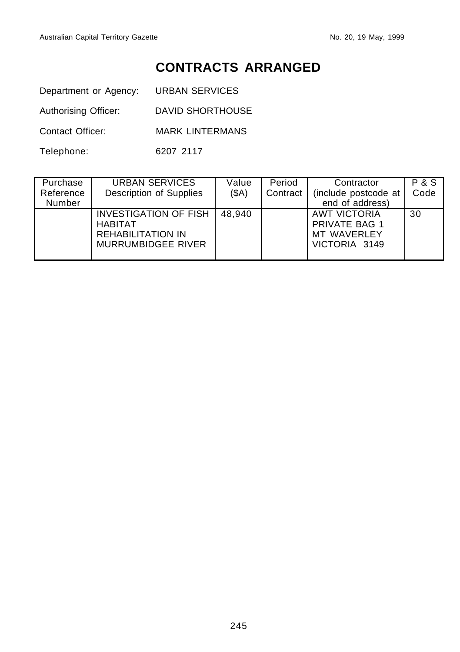## **CONTRACTS ARRANGED**

Department or Agency: URBAN SERVICES

Authorising Officer: DAVID SHORTHOUSE

Contact Officer: MARK LINTERMANS

Telephone: 6207 2117

| Purchase<br>Reference | URBAN SERVICES<br>Description of Supplies                                                        | Value<br>(SA) | Period<br>Contract | Contractor<br>(include postcode at                                   | P & S<br>Code |
|-----------------------|--------------------------------------------------------------------------------------------------|---------------|--------------------|----------------------------------------------------------------------|---------------|
| Number                |                                                                                                  |               |                    | end of address)                                                      |               |
|                       | <b>INVESTIGATION OF FISH</b><br><b>HABITAT</b><br><b>REHABILITATION IN</b><br>MURRUMBIDGEE RIVER | 48.940        |                    | <b>AWT VICTORIA</b><br>PRIVATE BAG 1<br>MT WAVERLEY<br>VICTORIA 3149 | 30            |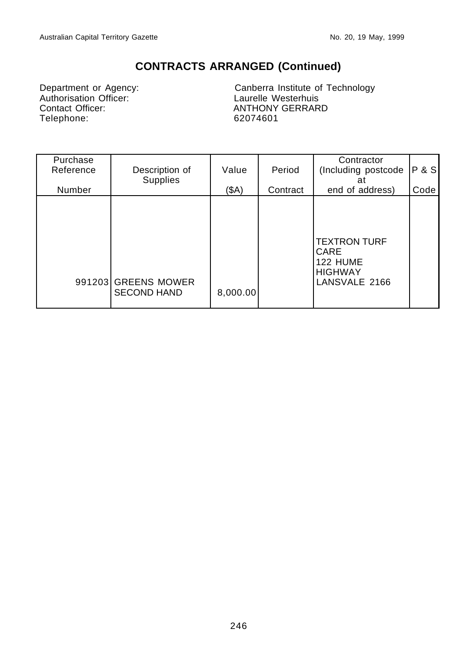## **CONTRACTS ARRANGED (Continued)**

Department or Agency:<br>
Authorisation Officer:<br>
Contact Officer:<br>
Contact Officer:<br>
ANTHONY GERRAR Telephone: 62074601

Canberra Institute of Technology ANTHONY GERRARD

| Purchase<br>Reference | Description of<br><b>Supplies</b>         | Value    | Period   | Contractor<br>(Including postcode<br>at                                    | <b>P&amp;S</b> |
|-----------------------|-------------------------------------------|----------|----------|----------------------------------------------------------------------------|----------------|
| Number                |                                           | $($ \$A) | Contract | end of address)                                                            | Code           |
|                       | 991203 GREENS MOWER<br><b>SECOND HAND</b> | 8,000.00 |          | <b>TEXTRON TURF</b><br>CARE<br>122 HUME<br><b>HIGHWAY</b><br>LANSVALE 2166 |                |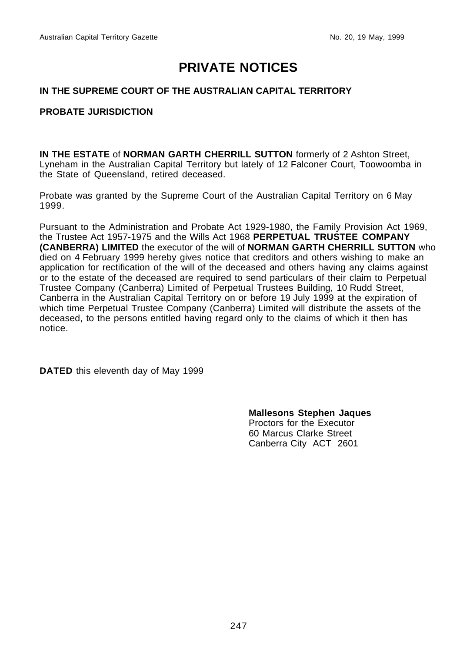## **PRIVATE NOTICES**

## **IN THE SUPREME COURT OF THE AUSTRALIAN CAPITAL TERRITORY**

### **PROBATE JURISDICTION**

**IN THE ESTATE** of **NORMAN GARTH CHERRILL SUTTON** formerly of 2 Ashton Street, Lyneham in the Australian Capital Territory but lately of 12 Falconer Court, Toowoomba in the State of Queensland, retired deceased.

Probate was granted by the Supreme Court of the Australian Capital Territory on 6 May 1999.

Pursuant to the Administration and Probate Act 1929-1980, the Family Provision Act 1969, the Trustee Act 1957-1975 and the Wills Act 1968 **PERPETUAL TRUSTEE COMPANY (CANBERRA) LIMITED** the executor of the will of **NORMAN GARTH CHERRILL SUTTON** who died on 4 February 1999 hereby gives notice that creditors and others wishing to make an application for rectification of the will of the deceased and others having any claims against or to the estate of the deceased are required to send particulars of their claim to Perpetual Trustee Company (Canberra) Limited of Perpetual Trustees Building, 10 Rudd Street, Canberra in the Australian Capital Territory on or before 19 July 1999 at the expiration of which time Perpetual Trustee Company (Canberra) Limited will distribute the assets of the deceased, to the persons entitled having regard only to the claims of which it then has notice.

**DATED** this eleventh day of May 1999

**Mallesons Stephen Jaques** Proctors for the Executor 60 Marcus Clarke Street Canberra City ACT 2601